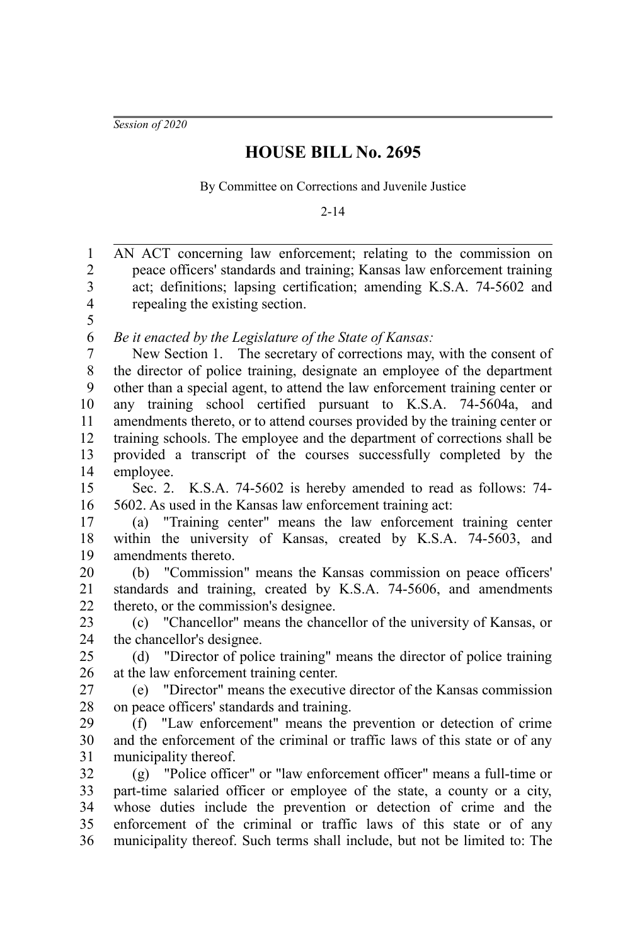*Session of 2020*

## **HOUSE BILL No. 2695**

By Committee on Corrections and Juvenile Justice

2-14

AN ACT concerning law enforcement; relating to the commission on peace officers' standards and training; Kansas law enforcement training act; definitions; lapsing certification; amending K.S.A. 74-5602 and repealing the existing section. *Be it enacted by the Legislature of the State of Kansas:* New Section 1. The secretary of corrections may, with the consent of the director of police training, designate an employee of the department other than a special agent, to attend the law enforcement training center or any training school certified pursuant to K.S.A. 74-5604a, and amendments thereto, or to attend courses provided by the training center or training schools. The employee and the department of corrections shall be provided a transcript of the courses successfully completed by the employee. Sec. 2. K.S.A. 74-5602 is hereby amended to read as follows: 74- 5602. As used in the Kansas law enforcement training act: (a) "Training center" means the law enforcement training center within the university of Kansas, created by K.S.A. 74-5603, and amendments thereto. (b) "Commission" means the Kansas commission on peace officers' standards and training, created by K.S.A. 74-5606, and amendments thereto, or the commission's designee. (c) "Chancellor" means the chancellor of the university of Kansas, or the chancellor's designee. (d) "Director of police training" means the director of police training at the law enforcement training center. (e) "Director" means the executive director of the Kansas commission on peace officers' standards and training. (f) "Law enforcement" means the prevention or detection of crime and the enforcement of the criminal or traffic laws of this state or of any municipality thereof. (g) "Police officer" or "law enforcement officer" means a full-time or part-time salaried officer or employee of the state, a county or a city, whose duties include the prevention or detection of crime and the enforcement of the criminal or traffic laws of this state or of any municipality thereof. Such terms shall include, but not be limited to: The 1 2 3 4 5 6 7 8 9 10 11 12 13 14 15 16 17 18 19 20 21 22 23 24 25 26 27 28 29 30 31 32 33 34 35 36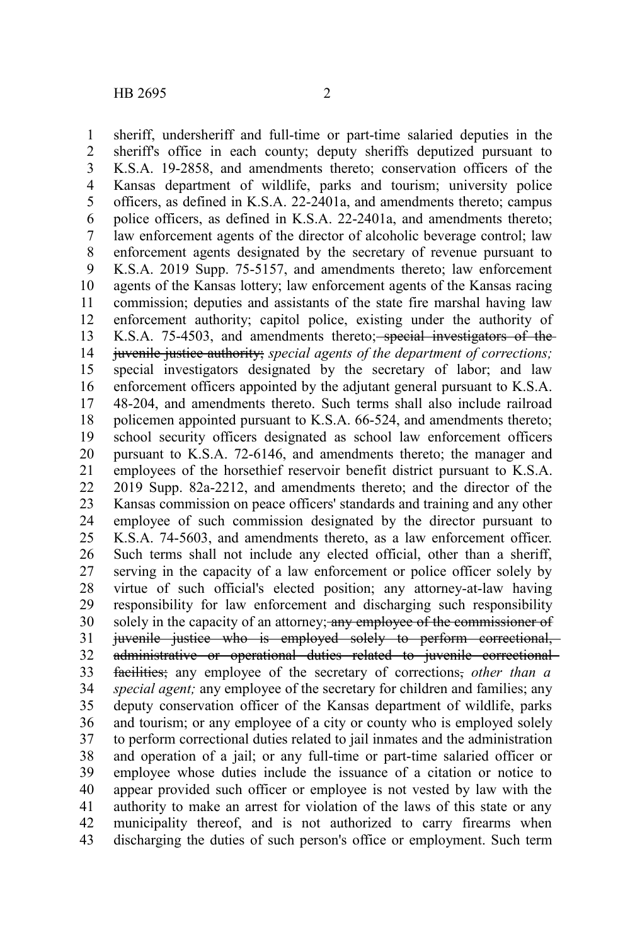1

sheriff, undersheriff and full-time or part-time salaried deputies in the

sheriff's office in each county; deputy sheriffs deputized pursuant to K.S.A. 19-2858, and amendments thereto; conservation officers of the Kansas department of wildlife, parks and tourism; university police officers, as defined in K.S.A. 22-2401a, and amendments thereto; campus police officers, as defined in K.S.A. 22-2401a, and amendments thereto; law enforcement agents of the director of alcoholic beverage control; law enforcement agents designated by the secretary of revenue pursuant to K.S.A. 2019 Supp. 75-5157, and amendments thereto; law enforcement agents of the Kansas lottery; law enforcement agents of the Kansas racing commission; deputies and assistants of the state fire marshal having law enforcement authority; capitol police, existing under the authority of K.S.A. 75-4503, and amendments thereto; special investigators of the juvenile justice authority; *special agents of the department of corrections;* special investigators designated by the secretary of labor; and law enforcement officers appointed by the adjutant general pursuant to K.S.A. 48-204, and amendments thereto. Such terms shall also include railroad policemen appointed pursuant to K.S.A. 66-524, and amendments thereto; school security officers designated as school law enforcement officers pursuant to K.S.A. 72-6146, and amendments thereto; the manager and employees of the horsethief reservoir benefit district pursuant to K.S.A. 2019 Supp. 82a-2212, and amendments thereto; and the director of the Kansas commission on peace officers' standards and training and any other employee of such commission designated by the director pursuant to K.S.A. 74-5603, and amendments thereto, as a law enforcement officer. Such terms shall not include any elected official, other than a sheriff, serving in the capacity of a law enforcement or police officer solely by virtue of such official's elected position; any attorney-at-law having responsibility for law enforcement and discharging such responsibility solely in the capacity of an attorney; any employee of the commissioner of juvenile justice who is employed solely to perform correctional, administrative or operational duties related to juvenile correctional facilities; any employee of the secretary of corrections, *other than a special agent;* any employee of the secretary for children and families; any deputy conservation officer of the Kansas department of wildlife, parks and tourism; or any employee of a city or county who is employed solely to perform correctional duties related to jail inmates and the administration and operation of a jail; or any full-time or part-time salaried officer or employee whose duties include the issuance of a citation or notice to appear provided such officer or employee is not vested by law with the authority to make an arrest for violation of the laws of this state or any municipality thereof, and is not authorized to carry firearms when discharging the duties of such person's office or employment. Such term 2 3 4 5 6 7 8 9 10 11 12 13 14 15 16 17 18 19 20 21 22 23 24 25 26 27 28 29 30 31 32 33 34 35 36 37 38 39 40 41 42 43